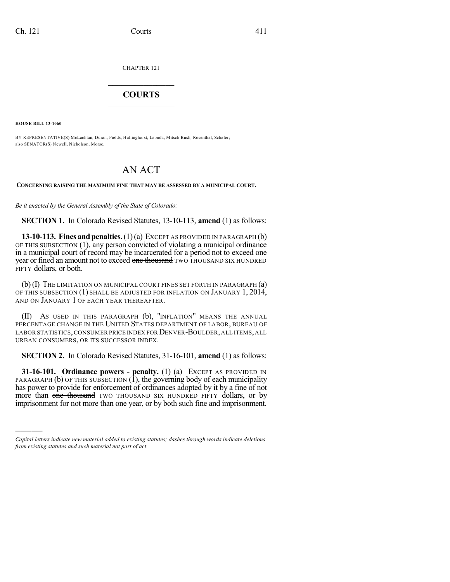CHAPTER 121

## $\mathcal{L}_\text{max}$  . The set of the set of the set of the set of the set of the set of the set of the set of the set of the set of the set of the set of the set of the set of the set of the set of the set of the set of the set **COURTS**  $\_$

**HOUSE BILL 13-1060**

)))))

BY REPRESENTATIVE(S) McLachlan, Duran, Fields, Hullinghorst, Labuda, Mitsch Bush, Rosenthal, Schafer; also SENATOR(S) Newell, Nicholson, Morse.

## AN ACT

**CONCERNING RAISING THE MAXIMUM FINE THAT MAY BE ASSESSED BY A MUNICIPAL COURT.**

*Be it enacted by the General Assembly of the State of Colorado:*

**SECTION 1.** In Colorado Revised Statutes, 13-10-113, **amend** (1) as follows:

**13-10-113. Fines andpenalties.**(1)(a) EXCEPT AS PROVIDED IN PARAGRAPH (b) OF THIS SUBSECTION (1), any person convicted of violating a municipal ordinance in a municipal court of record may be incarcerated for a period not to exceed one year or fined an amount not to exceed one thousand TWO THOUSAND SIX HUNDRED FIFTY dollars, or both.

(b)(I) THE LIMITATION ON MUNICIPAL COURT FINES SET FORTH IN PARAGRAPH (a) OF THIS SUBSECTION (1) SHALL BE ADJUSTED FOR INFLATION ON JANUARY 1, 2014, AND ON JANUARY 1 OF EACH YEAR THEREAFTER.

(II) AS USED IN THIS PARAGRAPH (b), "INFLATION" MEANS THE ANNUAL PERCENTAGE CHANGE IN THE UNITED STATES DEPARTMENT OF LABOR, BUREAU OF LABOR STATISTICS, CONSUMER PRICE INDEX FOR DENVER-BOULDER, ALL ITEMS, ALL URBAN CONSUMERS, OR ITS SUCCESSOR INDEX.

**SECTION 2.** In Colorado Revised Statutes, 31-16-101, **amend** (1) as follows:

**31-16-101. Ordinance powers - penalty.** (1) (a) EXCEPT AS PROVIDED IN PARAGRAPH (b) OF THIS SUBSECTION  $(1)$ , the governing body of each municipality has power to provide for enforcement of ordinances adopted by it by a fine of not more than one thousand TWO THOUSAND SIX HUNDRED FIFTY dollars, or by imprisonment for not more than one year, or by both such fine and imprisonment.

*Capital letters indicate new material added to existing statutes; dashes through words indicate deletions from existing statutes and such material not part of act.*